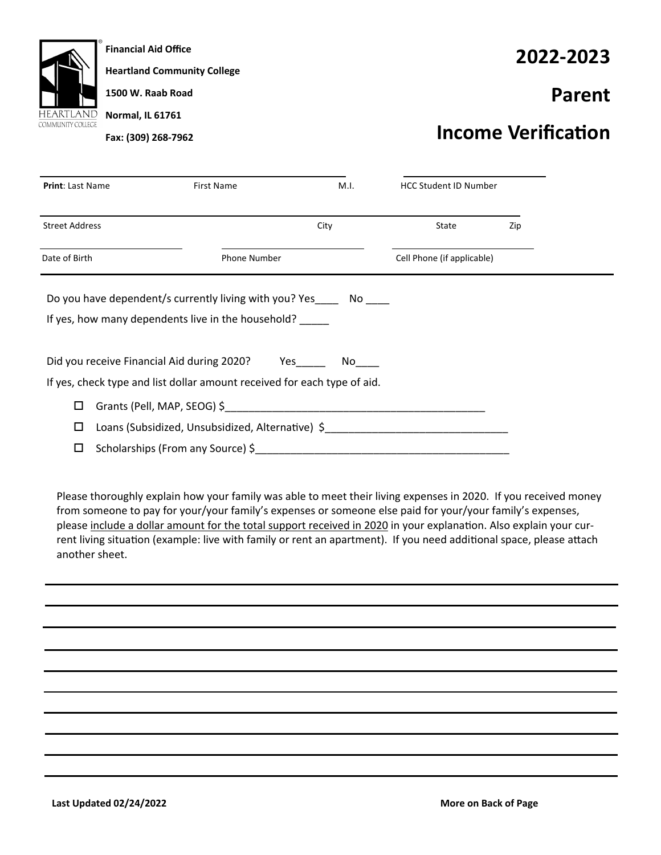

**Financial Aid Office Heartland Community College 1500 W. Raab Road Normal, IL 61761 Fax: (309) 268‐7962** 

## **2022‐2023**

## **Parent**

## **Income VerificaƟon**

| <b>Print: Last Name</b>                                                                                                    | <b>First Name</b>           | M.I. | <b>HCC Student ID Number</b> |     |  |
|----------------------------------------------------------------------------------------------------------------------------|-----------------------------|------|------------------------------|-----|--|
| <b>Street Address</b>                                                                                                      |                             | City | State                        | Zip |  |
| Date of Birth                                                                                                              | Phone Number                |      | Cell Phone (if applicable)   |     |  |
| Do you have dependent/s currently living with you? Yes ______ No<br>If yes, how many dependents live in the household?     |                             |      |                              |     |  |
| Did you receive Financial Aid during 2020? Yes<br>If yes, check type and list dollar amount received for each type of aid. |                             | No l |                              |     |  |
| □                                                                                                                          | Grants (Pell, MAP, SEOG) \$ |      |                              |     |  |
| Loans (Subsidized, Unsubsidized, Alternative) \$<br>□                                                                      |                             |      |                              |     |  |
| Scholarships (From any Source) \$<br>□                                                                                     |                             |      |                              |     |  |

Please thoroughly explain how your family was able to meet their living expenses in 2020. If you received money from someone to pay for your/your family's expenses or someone else paid for your/your family's expenses, please include a dollar amount for the total support received in 2020 in your explanation. Also explain your current living situation (example: live with family or rent an apartment). If you need additional space, please attach another sheet.